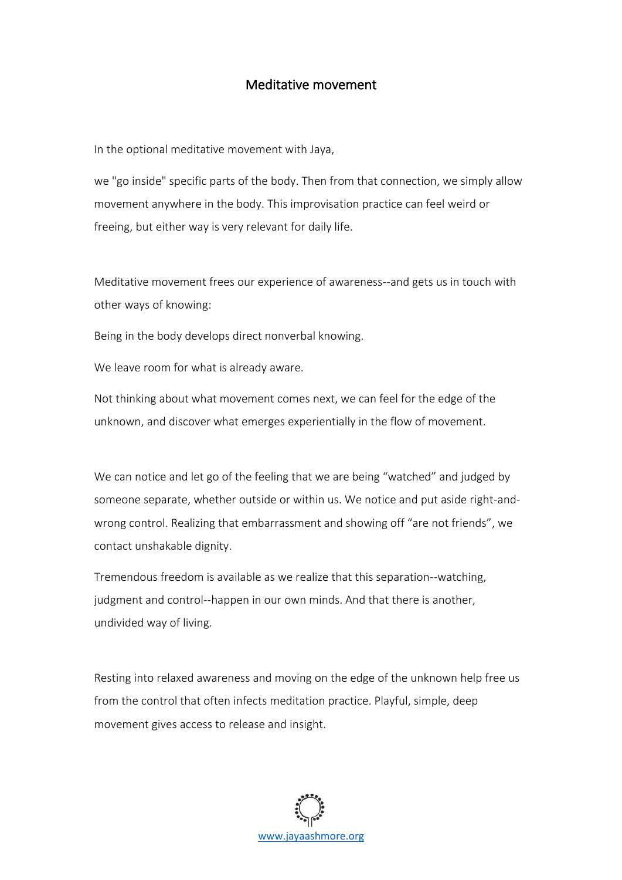## Meditative movement

In the optional meditative movement with Jaya,

we "go inside" specific parts of the body. Then from that connection, we simply allow movement anywhere in the body. This improvisation practice can feel weird or freeing, but either way is very relevant for daily life.

Meditative movement frees our experience of awareness--and gets us in touch with other ways of knowing:

Being in the body develops direct nonverbal knowing.

We leave room for what is already aware.

Not thinking about what movement comes next, we can feel for the edge of the unknown, and discover what emerges experientially in the flow of movement.

We can notice and let go of the feeling that we are being "watched" and judged by someone separate, whether outside or within us. We notice and put aside right-andwrong control. Realizing that embarrassment and showing off "are not friends", we contact unshakable dignity.

Tremendous freedom is available as we realize that this separation--watching, judgment and control--happen in our own minds. And that there is another, undivided way of living.

Resting into relaxed awareness and moving on the edge of the unknown help free us from the control that often infects meditation practice. Playful, simple, deep movement gives access to release and insight.